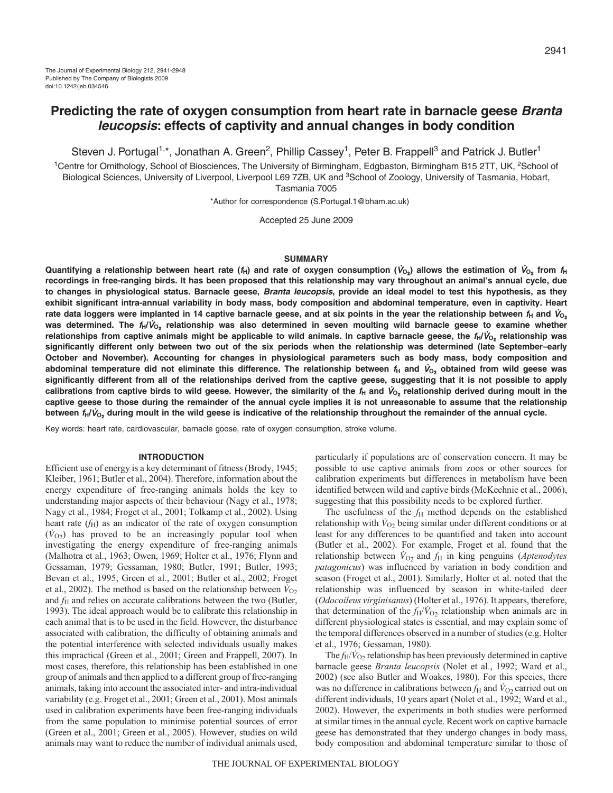# **Predicting the rate of oxygen consumption from heart rate in barnacle geese Branta leucopsis: effects of captivity and annual changes in body condition**

Steven J. Portugal<sup>1,\*</sup>, Jonathan A. Green<sup>2</sup>, Phillip Cassey<sup>1</sup>, Peter B. Frappell<sup>3</sup> and Patrick J. Butler<sup>1</sup>

<sup>1</sup>Centre for Ornithology, School of Biosciences, The University of Birmingham, Edgbaston, Birmingham B15 2TT, UK, <sup>2</sup>School of Biological Sciences, University of Liverpool, Liverpool L69 7ZB, UK and <sup>3</sup>School of Zoology, University of Tasmania, Hobart, Tasmania 7005

\*Author for correspondence (S.Portugal.1@bham.ac.uk)

Accepted 25 June 2009

# **SUMMARY**

**Quantifying a relationship between heart rate (** $f_H$ **) and rate of oxygen consumption (** $V_{O_2}$ **) allows the estimation of**  $V_{O_2}$  **from**  $f_H$ **recordings in free-ranging birds. It has been proposed that this relationship may vary throughout an animal's annual cycle, due to changes in physiological status. Barnacle geese, Branta leucopsis, provide an ideal model to test this hypothesis, as they exhibit significant intra-annual variability in body mass, body composition and abdominal temperature, even in captivity. Heart** rate data loggers were implanted in 14 captive barnacle geese, and at six points in the year the relationship between  $f_H$  and  $V_{O_2}$ **was determined. The fH/**V**O**2 **relationship was also determined in seven moulting wild barnacle geese to examine whether relationships from captive animals might be applicable to wild animals. In captive barnacle geese, the fH/**V**O**2 **relationship was significantly different only between two out of the six periods when the relationship was determined (late September–early October and November). Accounting for changes in physiological parameters such as body mass, body composition and abdominal temperature did not eliminate this difference. The relationship between f<sup>H</sup> and** V**O**2 **obtained from wild geese was significantly different from all of the relationships derived from the captive geese, suggesting that it is not possible to apply** calibrations from captive birds to wild geese. However, the similarity of the  $f_H$  and  $V_{O_2}$  relationship derived during moult in the **captive geese to those during the remainder of the annual cycle implies it is not unreasonable to assume that the relationship between fH/**V**O**2 **during moult in the wild geese is indicative of the relationship throughout the remainder of the annual cycle.**

Key words: heart rate, cardiovascular, barnacle goose, rate of oxygen consumption, stroke volume.

### **INTRODUCTION**

Efficient use of energy is a key determinant of fitness (Brody, 1945; Kleiber, 1961; Butler et al., 2004). Therefore, information about the energy expenditure of free-ranging animals holds the key to understanding major aspects of their behaviour (Nagy et al., 1978; Nagy et al., 1984; Froget et al., 2001; Tolkamp et al., 2002). Using heart rate  $(f_H)$  as an indicator of the rate of oxygen consumption  $(\dot{V}_{O2})$  has proved to be an increasingly popular tool when investigating the energy expenditure of free-ranging animals (Malhotra et al., 1963; Owen, 1969; Holter et al., 1976; Flynn and Gessaman, 1979; Gessaman, 1980; Butler, 1991; Butler, 1993; Bevan et al., 1995; Green et al., 2001; Butler et al., 2002; Froget et al., 2002). The method is based on the relationship between  $\dot{V}_{O2}$ and  $f<sub>H</sub>$  and relies on accurate calibrations between the two (Butler, 1993). The ideal approach would be to calibrate this relationship in each animal that is to be used in the field. However, the disturbance associated with calibration, the difficulty of obtaining animals and the potential interference with selected individuals usually makes this impractical (Green et al., 2001; Green and Frappell, 2007). In most cases, therefore, this relationship has been established in one group of animals and then applied to a different group of free-ranging animals, taking into account the associated inter- and intra-individual variability (e.g. Froget et al., 2001; Green et al., 2001). Most animals used in calibration experiments have been free-ranging individuals from the same population to minimise potential sources of error (Green et al., 2001; Green et al., 2005). However, studies on wild animals may want to reduce the number of individual animals used, particularly if populations are of conservation concern. It may be possible to use captive animals from zoos or other sources for calibration experiments but differences in metabolism have been identified between wild and captive birds (McKechnie et al., 2006), suggesting that this possibility needs to be explored further.

The usefulness of the  $f_H$  method depends on the established relationship with  $\dot{V}_{\text{O}2}$  being similar under different conditions or at least for any differences to be quantified and taken into account (Butler et al., 2002). For example, Froget et al. found that the relationship between  $\dot{V}_{O_2}$  and  $f_H$  in king penguins (*Aptenodytes patagonicus*) was influenced by variation in body condition and season (Froget et al., 2001). Similarly, Holter et al. noted that the relationship was influenced by season in white-tailed deer (*Odocoileus virginisanus*) (Holter et al., 1976). It appears, therefore, that determination of the  $f_H/V_{O2}$  relationship when animals are in different physiological states is essential, and may explain some of the temporal differences observed in a number of studies (e.g. Holter et al., 1976; Gessaman, 1980).

The  $f_H/\dot{V}_{O_2}$  relationship has been previously determined in captive barnacle geese *Branta leucopsis* (Nolet et al., 1992; Ward et al., 2002) (see also Butler and Woakes, 1980). For this species, there was no difference in calibrations between  $f_H$  and  $\dot{V}_{O2}$  carried out on different individuals, 10 years apart (Nolet et al., 1992; Ward et al., 2002). However, the experiments in both studies were performed at similar times in the annual cycle. Recent work on captive barnacle geese has demonstrated that they undergo changes in body mass, body composition and abdominal temperature similar to those of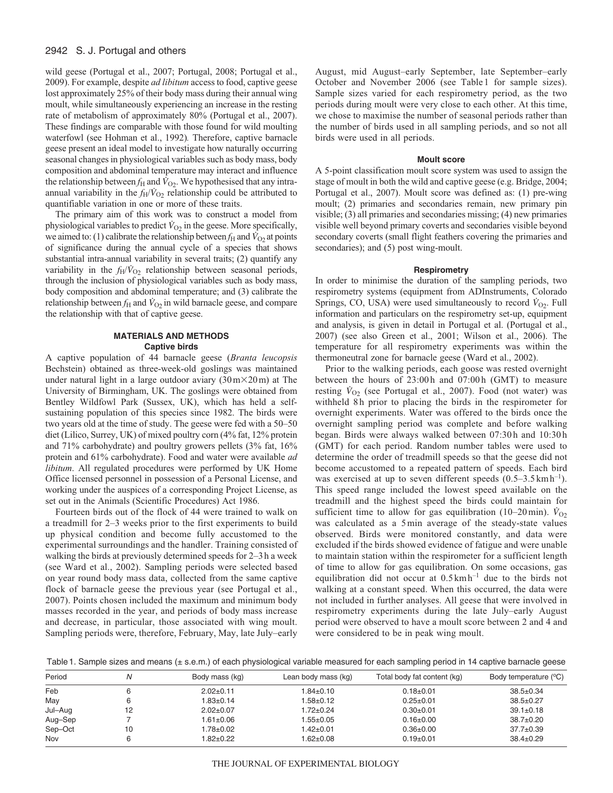# 2942 S. J. Portugal and others

wild geese (Portugal et al., 2007; Portugal, 2008; Portugal et al., 2009). For example, despite *ad libitum* access to food, captive geese lost approximately 25% of their body mass during their annual wing moult, while simultaneously experiencing an increase in the resting rate of metabolism of approximately 80% (Portugal et al., 2007). These findings are comparable with those found for wild moulting waterfowl (see Hohman et al., 1992)*.* Therefore, captive barnacle geese present an ideal model to investigate how naturally occurring seasonal changes in physiological variables such as body mass, body composition and abdominal temperature may interact and influence the relationship between  $f_H$  and  $\dot{V}_{Q2}$ . We hypothesised that any intraannual variability in the  $f_H/\dot{V}_{O_2}$  relationship could be attributed to quantifiable variation in one or more of these traits.

The primary aim of this work was to construct a model from physiological variables to predict  $\dot{V}_{O_2}$  in the geese. More specifically, we aimed to: (1) calibrate the relationship between  $f_H$  and  $\dot{V}_{O_2}$  at points of significance during the annual cycle of a species that shows substantial intra-annual variability in several traits; (2) quantify any variability in the  $f_H/\dot{V}_{O_2}$  relationship between seasonal periods, through the inclusion of physiological variables such as body mass, body composition and abdominal temperature; and (3) calibrate the relationship between  $f_H$  and  $\dot{V}_{O_2}$  in wild barnacle geese, and compare the relationship with that of captive geese.

# **MATERIALS AND METHODS Captive birds**

A captive population of 44 barnacle geese (*Branta leucopsis* Bechstein) obtained as three-week-old goslings was maintained under natural light in a large outdoor aviary  $(30 \text{ m} \times 20 \text{ m})$  at The University of Birmingham, UK. The goslings were obtained from Bentley Wildfowl Park (Sussex, UK), which has held a selfsustaining population of this species since 1982. The birds were two years old at the time of study. The geese were fed with a 50–50 diet (Lilico, Surrey, UK) of mixed poultry corn (4% fat, 12% protein and 71% carbohydrate) and poultry growers pellets (3% fat, 16% protein and 61% carbohydrate). Food and water were available *ad libitum*. All regulated procedures were performed by UK Home Office licensed personnel in possession of a Personal License, and working under the auspices of a corresponding Project License, as set out in the Animals (Scientific Procedures) Act 1986.

Fourteen birds out of the flock of 44 were trained to walk on a treadmill for 2–3 weeks prior to the first experiments to build up physical condition and become fully accustomed to the experimental surroundings and the handler. Training consisted of walking the birds at previously determined speeds for 2–3h a week (see Ward et al., 2002). Sampling periods were selected based on year round body mass data, collected from the same captive flock of barnacle geese the previous year (see Portugal et al., 2007). Points chosen included the maximum and minimum body masses recorded in the year, and periods of body mass increase and decrease, in particular, those associated with wing moult. Sampling periods were, therefore, February, May, late July–early

August, mid August–early September, late September–early October and November 2006 (see Table1 for sample sizes). Sample sizes varied for each respirometry period, as the two periods during moult were very close to each other. At this time, we chose to maximise the number of seasonal periods rather than the number of birds used in all sampling periods, and so not all birds were used in all periods.

# **Moult score**

A 5-point classification moult score system was used to assign the stage of moult in both the wild and captive geese (e.g. Bridge, 2004; Portugal et al., 2007). Moult score was defined as: (1) pre-wing moult; (2) primaries and secondaries remain, new primary pin visible; (3) all primaries and secondaries missing; (4) new primaries visible well beyond primary coverts and secondaries visible beyond secondary coverts (small flight feathers covering the primaries and secondaries); and (5) post wing-moult.

# **Respirometry**

In order to minimise the duration of the sampling periods, two respirometry systems (equipment from ADInstruments, Colorado Springs, CO, USA) were used simultaneously to record  $\dot{V}_{O_2}$ . Full information and particulars on the respirometry set-up, equipment and analysis, is given in detail in Portugal et al. (Portugal et al., 2007) (see also Green et al., 2001; Wilson et al., 2006). The temperature for all respirometry experiments was within the thermoneutral zone for barnacle geese (Ward et al., 2002).

Prior to the walking periods, each goose was rested overnight between the hours of 23:00h and 07:00h (GMT) to measure resting  $V_{O2}$  (see Portugal et al., 2007). Food (not water) was withheld 8h prior to placing the birds in the respirometer for overnight experiments. Water was offered to the birds once the overnight sampling period was complete and before walking began. Birds were always walked between 07:30h and 10:30h (GMT) for each period. Random number tables were used to determine the order of treadmill speeds so that the geese did not become accustomed to a repeated pattern of speeds. Each bird was exercised at up to seven different speeds  $(0.5-3.5 \text{ km h}^{-1})$ . This speed range included the lowest speed available on the treadmill and the highest speed the birds could maintain for sufficient time to allow for gas equilibration (10–20 min).  $\dot{V}_{\text{O}2}$ was calculated as a 5min average of the steady-state values observed. Birds were monitored constantly, and data were excluded if the birds showed evidence of fatigue and were unable to maintain station within the respirometer for a sufficient length of time to allow for gas equilibration. On some occasions, gas equilibration did not occur at 0.5kmh–1 due to the birds not walking at a constant speed. When this occurred, the data were not included in further analyses. All geese that were involved in respirometry experiments during the late July–early August period were observed to have a moult score between 2 and 4 and were considered to be in peak wing moult.

Table1. Sample sizes and means (± s.e.m.) of each physiological variable measured for each sampling period in 14 captive barnacle geese

| Period  |    | Body mass (kg)  | Lean body mass (kg) | Total body fat content (kg) | Body temperature (°C) |
|---------|----|-----------------|---------------------|-----------------------------|-----------------------|
| Feb     |    | $2.02 \pm 0.11$ | $1.84 \pm 0.10$     | $0.18 + 0.01$               | $38.5 \pm 0.34$       |
| May     |    | 1.83±0.14       | 1.58±0.12           | $0.25 \pm 0.01$             | $38.5 \pm 0.27$       |
| Jul-Aug | 12 | $2.02 \pm 0.07$ | 1.72±0.24           | $0.30 + 0.01$               | $39.1 \pm 0.18$       |
| Aug-Sep |    | $1.61 \pm 0.06$ | 1.55±0.05           | $0.16 \pm 0.00$             | $38.7 \pm 0.20$       |
| Sep-Oct | 10 | 1.78±0.02       | 1.42±0.01           | $0.36 \pm 0.00$             | 37.7±0.39             |
| Nov     |    | $1.82 + 0.22$   | 1.62±0.08           | $0.19 + 0.01$               | $38.4 \pm 0.29$       |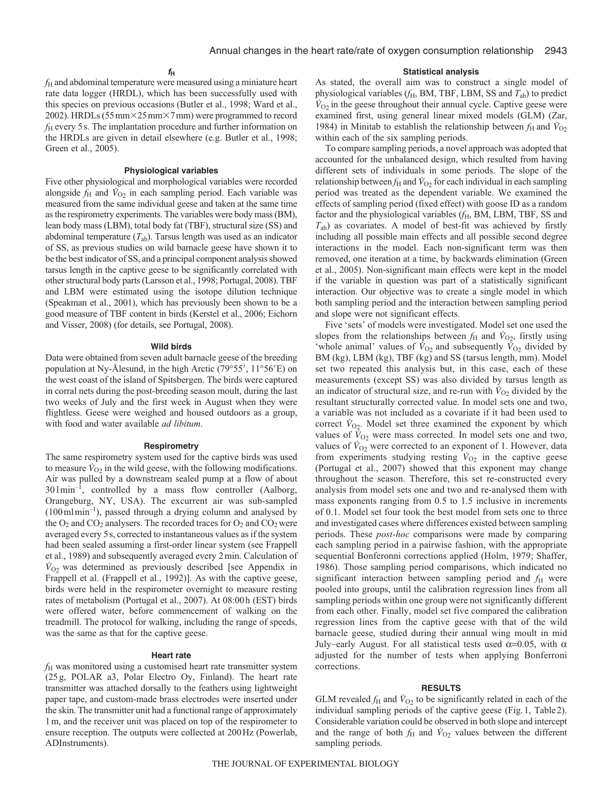*f*<sup>H</sup> and abdominal temperature were measured using a miniature heart rate data logger (HRDL), which has been successfully used with this species on previous occasions (Butler et al., 1998; Ward et al., 2002). HRDLs (55 mm×25 mm×7 mm) were programmed to record *f*<sub>H</sub> every 5 s. The implantation procedure and further information on the HRDLs are given in detail elsewhere (e.g. Butler et al., 1998; Green et al., 2005).

# **Physiological variables**

Five other physiological and morphological variables were recorded alongside  $f_{\rm H}$  and  $\dot{V}_{\rm O2}$  in each sampling period. Each variable was measured from the same individual geese and taken at the same time as the respirometry experiments. The variables were body mass (BM), lean body mass (LBM), total body fat (TBF), structural size (SS) and abdominal temperature (*T*ab). Tarsus length was used as an indicator of SS, as previous studies on wild barnacle geese have shown it to be the best indicator of SS, and a principal component analysis showed tarsus length in the captive geese to be significantly correlated with other structural body parts (Larsson et al., 1998; Portugal, 2008). TBF and LBM were estimated using the isotope dilution technique (Speakman et al., 2001), which has previously been shown to be a good measure of TBF content in birds (Kerstel et al., 2006; Eichorn and Visser, 2008) (for details, see Portugal, 2008).

# **Wild birds**

Data were obtained from seven adult barnacle geese of the breeding population at Ny-Ålesund, in the high Arctic (79 $\degree$ 55', 11 $\degree$ 56'E) on the west coast of the island of Spitsbergen. The birds were captured in corral nets during the post-breeding season moult, during the last two weeks of July and the first week in August when they were flightless. Geese were weighed and housed outdoors as a group, with food and water available *ad libitum*.

### **Respirometry**

The same respirometry system used for the captive birds was used to measure  $\dot{V}_{O_2}$  in the wild geese, with the following modifications. Air was pulled by a downstream sealed pump at a flow of about  $301 \text{min}^{-1}$ , controlled by a mass flow controller (Aalborg, Orangeburg, NY, USA). The excurrent air was sub-sampled  $(100 \text{ m/min}^{-1})$ , passed through a drying column and analysed by the  $O_2$  and  $CO_2$  analysers. The recorded traces for  $O_2$  and  $CO_2$  were averaged every 5s, corrected to instantaneous values as if the system had been sealed assuming a first-order linear system (see Frappell et al., 1989) and subsequently averaged every 2min. Calculation of  $\dot{V}_{O2}$  was determined as previously described [see Appendix in Frappell et al. (Frappell et al., 1992)]. As with the captive geese, birds were held in the respirometer overnight to measure resting rates of metabolism (Portugal et al., 2007). At 08:00h (EST) birds were offered water, before commencement of walking on the treadmill. The protocol for walking, including the range of speeds, was the same as that for the captive geese.

## **Heart rate**

*f*<sup>H</sup> was monitored using a customised heart rate transmitter system (25g, POLAR a3, Polar Electro Oy, Finland). The heart rate transmitter was attached dorsally to the feathers using lightweight paper tape, and custom-made brass electrodes were inserted under the skin. The transmitter unit had a functional range of approximately 1m, and the receiver unit was placed on top of the respirometer to ensure reception. The outputs were collected at 200Hz (Powerlab, ADInstruments).

# **Statistical analysis**

As stated, the overall aim was to construct a single model of physiological variables ( $f_H$ , BM, TBF, LBM, SS and  $T_{ab}$ ) to predict  $\dot{V}_{O_2}$  in the geese throughout their annual cycle. Captive geese were examined first, using general linear mixed models (GLM) (Zar, 1984) in Minitab to establish the relationship between  $f_H$  and  $\dot{V}_{O2}$ within each of the six sampling periods.

To compare sampling periods, a novel approach was adopted that accounted for the unbalanced design, which resulted from having different sets of individuals in some periods. The slope of the relationship between  $f_H$  and  $\dot{V}_{\text{O}2}$  for each individual in each sampling period was treated as the dependent variable. We examined the effects of sampling period (fixed effect) with goose ID as a random factor and the physiological variables ( $f_H$ , BM, LBM, TBF, SS and *T*ab) as covariates. A model of best-fit was achieved by firstly including all possible main effects and all possible second degree interactions in the model. Each non-significant term was then removed, one iteration at a time, by backwards elimination (Green et al., 2005). Non-significant main effects were kept in the model if the variable in question was part of a statistically significant interaction. Our objective was to create a single model in which both sampling period and the interaction between sampling period and slope were not significant effects.

Five 'sets' of models were investigated. Model set one used the slopes from the relationships between  $f_{\rm H}$  and  $\dot{V}_{\rm O2}$ , firstly using 'whole animal' values of  $\dot{V}_{O2}$  and subsequently  $\dot{V}_{O2}$  divided by BM (kg), LBM (kg), TBF (kg) and SS (tarsus length, mm). Model set two repeated this analysis but, in this case, each of these measurements (except SS) was also divided by tarsus length as an indicator of structural size, and re-run with  $\dot{V}_{\text{O}2}$  divided by the resultant structurally corrected value. In model sets one and two, a variable was not included as a covariate if it had been used to correct  $V_{O_2}$ . Model set three examined the exponent by which values of  $\dot{V}_{O_2}$  were mass corrected. In model sets one and two, values of  $V_{O2}$  were corrected to an exponent of 1. However, data from experiments studying resting  $\dot{V}_{O_2}$  in the captive geese (Portugal et al., 2007) showed that this exponent may change throughout the season. Therefore, this set re-constructed every analysis from model sets one and two and re-analysed them with mass exponents ranging from 0.5 to 1.5 inclusive in increments of 0.1. Model set four took the best model from sets one to three and investigated cases where differences existed between sampling periods. These *post-hoc* comparisons were made by comparing each sampling period in a pairwise fashion, with the appropriate sequential Bonferonni corrections applied (Holm, 1979; Shaffer, 1986). Those sampling period comparisons, which indicated no significant interaction between sampling period and  $f_{\rm H}$  were pooled into groups, until the calibration regression lines from all sampling periods within one group were not significantly different from each other. Finally, model set five compared the calibration regression lines from the captive geese with that of the wild barnacle geese, studied during their annual wing moult in mid July–early August. For all statistical tests used  $\alpha$ =0.05, with  $\alpha$ adjusted for the number of tests when applying Bonferroni corrections.

#### **RESULTS**

GLM revealed  $f_H$  and  $\dot{V}_{O_2}$  to be significantly related in each of the individual sampling periods of the captive geese (Fig.1, Table2). Considerable variation could be observed in both slope and intercept and the range of both  $f_H$  and  $\dot{V}_{O_2}$  values between the different sampling periods.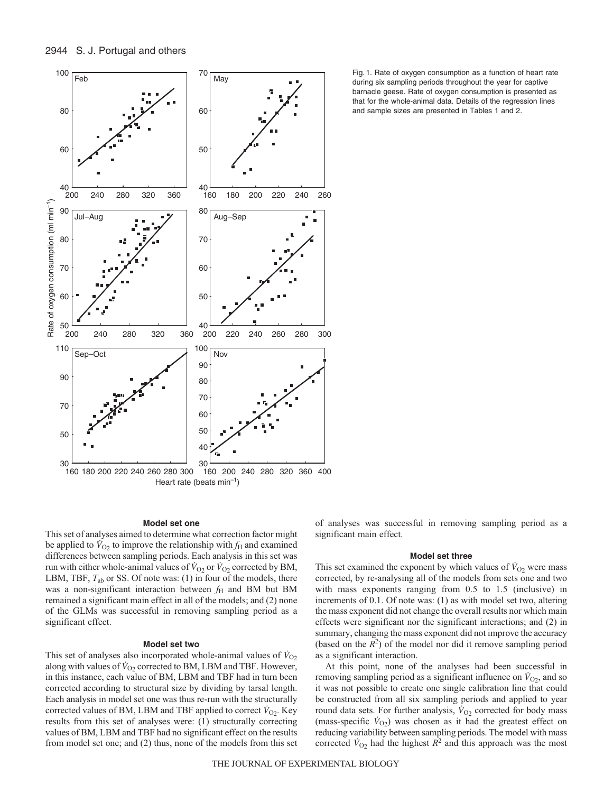

# **Model set one**

This set of analyses aimed to determine what correction factor might be applied to  $\dot{V}_{O2}$  to improve the relationship with  $f_H$  and examined differences between sampling periods. Each analysis in this set was run with either whole-animal values of  $\dot{V}_{O_2}$  or  $\dot{V}_{O_2}$  corrected by BM, LBM, TBF,  $T_{ab}$  or SS. Of note was: (1) in four of the models, there was a non-significant interaction between  $f_H$  and BM but BM remained a significant main effect in all of the models; and (2) none of the GLMs was successful in removing sampling period as a significant effect.

### **Model set two**

This set of analyses also incorporated whole-animal values of  $\dot{V}_{O_2}$ along with values of  $\dot{V}_{O2}$  corrected to BM, LBM and TBF. However, in this instance, each value of BM, LBM and TBF had in turn been corrected according to structural size by dividing by tarsal length. Each analysis in model set one was thus re-run with the structurally corrected values of BM, LBM and TBF applied to correct  $\dot{V}_{\text{O2}}$ . Key results from this set of analyses were: (1) structurally correcting values of BM, LBM and TBF had no significant effect on the results from model set one; and (2) thus, none of the models from this set

Fig. 1. Rate of oxygen consumption as a function of heart rate during six sampling periods throughout the year for captive barnacle geese. Rate of oxygen consumption is presented as that for the whole-animal data. Details of the regression lines and sample sizes are presented in Tables 1 and 2.

of analyses was successful in removing sampling period as a significant main effect.

### **Model set three**

This set examined the exponent by which values of  $\dot{V}_{O2}$  were mass corrected, by re-analysing all of the models from sets one and two with mass exponents ranging from 0.5 to 1.5 (inclusive) in increments of 0.1. Of note was: (1) as with model set two, altering the mass exponent did not change the overall results nor which main effects were significant nor the significant interactions; and (2) in summary, changing the mass exponent did not improve the accuracy (based on the  $\overline{R}^2$ ) of the model nor did it remove sampling period as a significant interaction.

At this point, none of the analyses had been successful in removing sampling period as a significant influence on  $\dot{V}_{O2}$ , and so it was not possible to create one single calibration line that could be constructed from all six sampling periods and applied to year round data sets. For further analysis,  $\dot{V}_{O2}$  corrected for body mass (mass-specific  $\dot{V}_{O_2}$ ) was chosen as it had the greatest effect on reducing variability between sampling periods. The model with mass corrected  $\dot{V}_{O2}$  had the highest  $\dot{R}^2$  and this approach was the most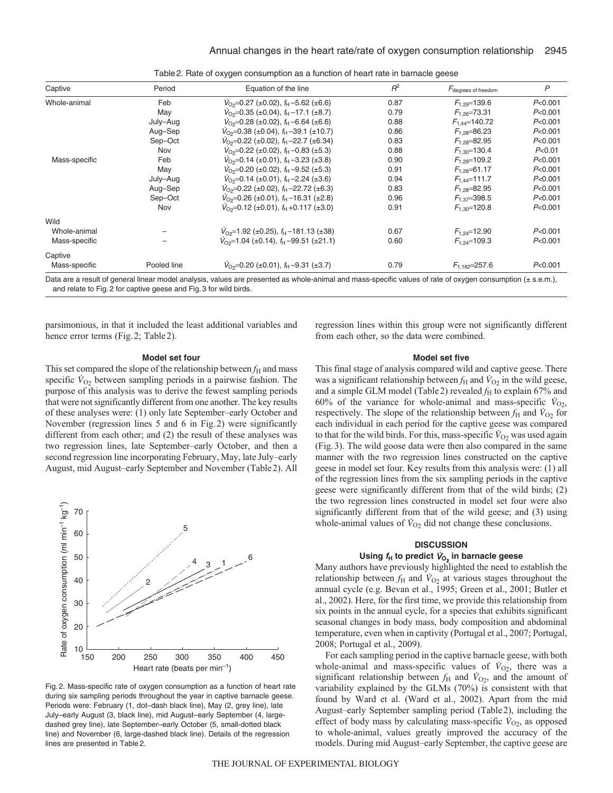| Captive       | Period      | Equation of the line                                                                                                                                        | $R^2$ | F <sub>degrees</sub> of freedom | $\mathsf{P}$ |
|---------------|-------------|-------------------------------------------------------------------------------------------------------------------------------------------------------------|-------|---------------------------------|--------------|
| Whole-animal  | Feb         | $V_{\text{O}_2}$ =0.27 (±0.02), $f_{\text{H}}$ –5.62 (±6.6)                                                                                                 | 0.87  | $F_{1,29}$ =139.6               | P<0.001      |
|               | May         | $V_{\text{O}_2}$ =0.35 (±0.04), $f_{\text{H}}$ –17.1 (±8.7)                                                                                                 | 0.79  | $F_{1,26} = 73.31$              | P<0.001      |
|               | July-Aug    | $V_{\text{O2}}$ =0.28 (±0.02), $f_{\text{H}}$ –6.64 (±6.6)                                                                                                  | 0.88  | $F_{1.44} = 140.72$             | P<0.001      |
|               | Aug-Sep     | $V_{\text{O}_2}$ =0.38 (±0.04), $f_{\text{H}}$ -39.1 (±10.7)                                                                                                | 0.86  | $F_{1,28} = 86.23$              | P<0.001      |
|               | Sep-Oct     | $V_{\text{O}_2}$ =0.22 (±0.02), $f_{\text{H}}$ –22.7 (±6.34)                                                                                                | 0.83  | $F_{1,28} = 82.95$              | P<0.001      |
|               | Nov         | $V_{\text{O2}}$ =0.22 (±0.02), $f_{\text{H}}$ –0.83 (±5.3)                                                                                                  | 0.88  | $F_{1,30}$ =130.4               | P< 0.01      |
| Mass-specific | Feb         | $V_{\text{O}_2}$ =0.14 (±0.01), $f_{\text{H}}$ -3.23 (±3.8)                                                                                                 | 0.90  | $F_{1,29}$ =109.2               | P<0.001      |
|               | May         | $V_{\text{O}_2}$ =0.20 (±0.02), $f_{\text{H}}$ –9.52 (±5.3)                                                                                                 | 0.91  | $F_{1,26} = 61.17$              | P<0.001      |
|               | July-Aug    | $V_{\text{O2}}$ =0.14 (±0.01), $f_{\text{H}}$ –2.24 (±3.6)                                                                                                  | 0.94  | $F_{1.44} = 111.7$              | P<0.001      |
|               | Aug-Sep     | $V_{\text{O}_2}$ =0.22 (±0.02), $f_{\text{H}}$ –22.72 (±6.3)                                                                                                | 0.83  | $F_{1,28} = 82.95$              | P<0.001      |
|               | Sep-Oct     | $V_{\text{O}_2}$ =0.26 (±0.01), $f_{\text{H}}$ -16.31 (±2.8)                                                                                                | 0.96  | $F_{1.37} = 398.5$              | P<0.001      |
|               | Nov         | $V_{\Omega 2}$ =0.12 (±0.01), $f_{\text{H}}$ +0.117 (±3.0)                                                                                                  | 0.91  | $F_{1,30}$ =120.8               | P<0.001      |
| Wild          |             |                                                                                                                                                             |       |                                 |              |
| Whole-animal  |             | $V_{\text{O2}}$ =1.92 (±0.25), $f_{\text{H}}$ –181.13 (±38)                                                                                                 | 0.67  | $F_{1,24}$ =12.90               | P<0.001      |
| Mass-specific |             | $V_{\text{O}_2}$ =1.04 (±0.14), $f_{\text{H}}$ –99.51 (±21.1)                                                                                               | 0.60  | $F_{1,24}$ =109.3               | P<0.001      |
| Captive       |             |                                                                                                                                                             |       |                                 |              |
| Mass-specific | Pooled line | $V_{\text{O}_2}$ =0.20 (±0.01), $f_{\text{H}}$ –9.31 (±3.7)                                                                                                 | 0.79  | $F_{1.182} = 257.6$             | P<0.001      |
|               |             | Data are a result of general linear model analysis, values are presented as whole-animal and mass-specific values of rate of oxygen consumption (± s.e.m.), |       |                                 |              |

Table2. Rate of oxygen consumption as a function of heart rate in barnacle geese

and relate to Fig. 2 for captive geese and Fig. 3 for wild birds.

parsimonious, in that it included the least additional variables and hence error terms (Fig. 2; Table 2).

regression lines within this group were not significantly different from each other, so the data were combined.

#### **Model set four**

This set compared the slope of the relationship between  $f_H$  and mass specific  $V_{O2}$  between sampling periods in a pairwise fashion. The purpose of this analysis was to derive the fewest sampling periods that were not significantly different from one another. The key results of these analyses were: (1) only late September–early October and November (regression lines 5 and 6 in Fig.2) were significantly different from each other; and (2) the result of these analyses was two regression lines, late September–early October, and then a second regression line incorporating February, May, late July–early August, mid August–early September and November (Table2). All



Fig. 2. Mass-specific rate of oxygen consumption as a function of heart rate during six sampling periods throughout the year in captive barnacle geese. Periods were: February (1, dot–dash black line), May (2, grey line), late July–early August (3, black line), mid August–early September (4, largedashed grey line), late September–early October (5, small-dotted black line) and November (6, large-dashed black line). Details of the regression lines are presented in Table 2.

### **Model set five**

This final stage of analysis compared wild and captive geese. There was a significant relationship between  $f_H$  and  $\dot{V}_{O_2}$  in the wild geese, and a simple GLM model (Table 2) revealed  $f_H$  to explain 67% and 60% of the variance for whole-animal and mass-specific  $\dot{V}_{O_2}$ , respectively. The slope of the relationship between  $f_{\rm H}$  and  $\dot{V}_{\rm O2}$  for each individual in each period for the captive geese was compared to that for the wild birds. For this, mass-specific  $\dot{V}_{O_2}$  was used again (Fig.3). The wild goose data were then also compared in the same manner with the two regression lines constructed on the captive geese in model set four. Key results from this analysis were: (1) all of the regression lines from the six sampling periods in the captive geese were significantly different from that of the wild birds; (2) the two regression lines constructed in model set four were also significantly different from that of the wild geese; and (3) using whole-animal values of  $\dot{V}_{O_2}$  did not change these conclusions.

# **DISCUSSION**

# Using  $f_H$  to predict  $\dot{V}_{O_2}$  in barnacle geese

Many authors have previously highlighted the need to establish the relationship between  $f_{\rm H}$  and  $\dot{V}_{\rm O2}$  at various stages throughout the annual cycle (e.g. Bevan et al., 1995; Green et al., 2001; Butler et al., 2002). Here, for the first time, we provide this relationship from six points in the annual cycle, for a species that exhibits significant seasonal changes in body mass, body composition and abdominal temperature, even when in captivity (Portugal et al., 2007; Portugal, 2008; Portugal et al., 2009).

For each sampling period in the captive barnacle geese, with both whole-animal and mass-specific values of  $\dot{V}_{O2}$ , there was a significant relationship between  $f_{\rm H}$  and  $\dot{V}_{\rm O2}$ , and the amount of variability explained by the GLMs (70%) is consistent with that found by Ward et al. (Ward et al., 2002). Apart from the mid August–early September sampling period (Table2), including the effect of body mass by calculating mass-specific  $\dot{V}_{O_2}$ , as opposed to whole-animal, values greatly improved the accuracy of the models. During mid August–early September, the captive geese are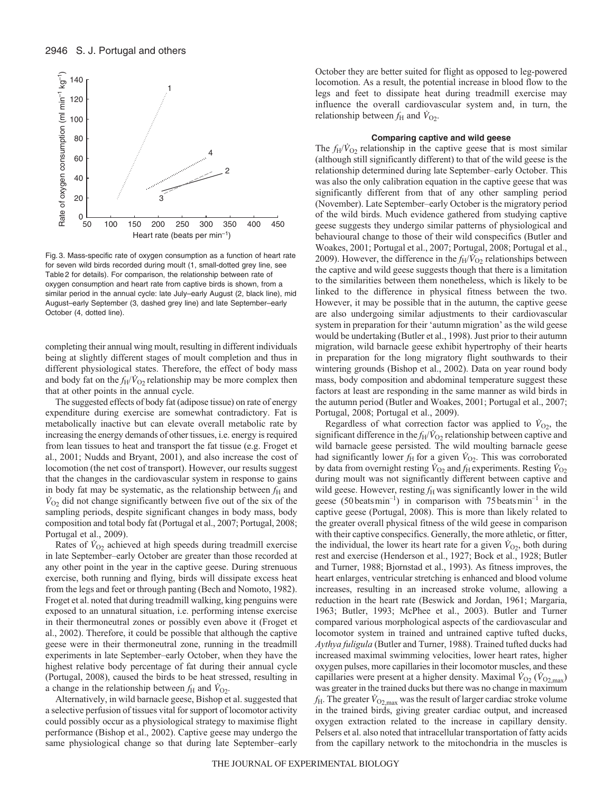

Fig. 3. Mass-specific rate of oxygen consumption as a function of heart rate for seven wild birds recorded during moult (1, small-dotted grey line, see Table 2 for details). For comparison, the relationship between rate of oxygen consumption and heart rate from captive birds is shown, from a similar period in the annual cycle: late July–early August (2, black line), mid August–early September (3, dashed grey line) and late September–early October (4, dotted line).

completing their annual wing moult, resulting in different individuals being at slightly different stages of moult completion and thus in different physiological states. Therefore, the effect of body mass and body fat on the  $f_H/V_{O2}$  relationship may be more complex then that at other points in the annual cycle.

The suggested effects of body fat (adipose tissue) on rate of energy expenditure during exercise are somewhat contradictory. Fat is metabolically inactive but can elevate overall metabolic rate by increasing the energy demands of other tissues, i.e. energy is required from lean tissues to heat and transport the fat tissue (e.g. Froget et al., 2001; Nudds and Bryant, 2001), and also increase the cost of locomotion (the net cost of transport). However, our results suggest that the changes in the cardiovascular system in response to gains in body fat may be systematic, as the relationship between  $f<sub>H</sub>$  and  $\dot{V}_{O_2}$  did not change significantly between five out of the six of the sampling periods, despite significant changes in body mass, body composition and total body fat (Portugal et al., 2007; Portugal, 2008; Portugal et al., 2009).

Rates of  $\dot{V}_{O2}$  achieved at high speeds during treadmill exercise in late September–early October are greater than those recorded at any other point in the year in the captive geese. During strenuous exercise, both running and flying, birds will dissipate excess heat from the legs and feet or through panting (Bech and Nomoto, 1982). Froget et al. noted that during treadmill walking, king penguins were exposed to an unnatural situation, i.e. performing intense exercise in their thermoneutral zones or possibly even above it (Froget et al., 2002). Therefore, it could be possible that although the captive geese were in their thermoneutral zone, running in the treadmill experiments in late September–early October, when they have the highest relative body percentage of fat during their annual cycle (Portugal, 2008), caused the birds to be heat stressed, resulting in a change in the relationship between  $f_H$  and  $\dot{V}_{O_2}$ .

Alternatively, in wild barnacle geese, Bishop et al. suggested that a selective perfusion of tissues vital for support of locomotor activity could possibly occur as a physiological strategy to maximise flight performance (Bishop et al., 2002). Captive geese may undergo the same physiological change so that during late September–early October they are better suited for flight as opposed to leg-powered locomotion. As a result, the potential increase in blood flow to the legs and feet to dissipate heat during treadmill exercise may influence the overall cardiovascular system and, in turn, the relationship between  $f_{\rm H}$  and  $\dot{V}_{\rm O2}$ .

# **Comparing captive and wild geese**

The  $f_H/\dot{V}_{O2}$  relationship in the captive geese that is most similar (although still significantly different) to that of the wild geese is the relationship determined during late September–early October. This was also the only calibration equation in the captive geese that was significantly different from that of any other sampling period (November). Late September–early October is the migratory period of the wild birds. Much evidence gathered from studying captive geese suggests they undergo similar patterns of physiological and behavioural change to those of their wild conspecifics (Butler and Woakes, 2001; Portugal et al., 2007; Portugal, 2008; Portugal et al., 2009). However, the difference in the  $f_H/\dot{V}_{O_2}$  relationships between the captive and wild geese suggests though that there is a limitation to the similarities between them nonetheless, which is likely to be linked to the difference in physical fitness between the two. However, it may be possible that in the autumn, the captive geese are also undergoing similar adjustments to their cardiovascular system in preparation for their 'autumn migration' as the wild geese would be undertaking (Butler et al., 1998). Just prior to their autumn migration, wild barnacle geese exhibit hypertrophy of their hearts in preparation for the long migratory flight southwards to their wintering grounds (Bishop et al., 2002). Data on year round body mass, body composition and abdominal temperature suggest these factors at least are responding in the same manner as wild birds in the autumn period (Butler and Woakes, 2001; Portugal et al., 2007; Portugal, 2008; Portugal et al., 2009).

Regardless of what correction factor was applied to  $V_{O_2}$ , the significant difference in the  $f_H/\dot{V}_{O_2}$  relationship between captive and wild barnacle geese persisted. The wild moulting barnacle geese had significantly lower  $f_H$  for a given  $\dot{V}_{O_2}$ . This was corroborated by data from overnight resting  $\dot{V}_{\text{O}_2}$  and  $f_{\text{H}}$  experiments. Resting  $\dot{V}_{\text{O}_2}$ during moult was not significantly different between captive and wild geese. However, resting  $f<sub>H</sub>$  was significantly lower in the wild geese (50 beats min<sup>-1</sup>) in comparison with 75 beats min<sup>-1</sup> in the captive geese (Portugal, 2008). This is more than likely related to the greater overall physical fitness of the wild geese in comparison with their captive conspecifics. Generally, the more athletic, or fitter, the individual, the lower its heart rate for a given  $\dot{V}_{O2}$ , both during rest and exercise (Henderson et al., 1927; Bock et al., 1928; Butler and Turner, 1988; Bjornstad et al., 1993). As fitness improves, the heart enlarges, ventricular stretching is enhanced and blood volume increases, resulting in an increased stroke volume, allowing a reduction in the heart rate (Beswick and Jordan, 1961; Margaria, 1963; Butler, 1993; McPhee et al., 2003). Butler and Turner compared various morphological aspects of the cardiovascular and locomotor system in trained and untrained captive tufted ducks, *Aythya fuligula* (Butler and Turner, 1988). Trained tufted ducks had increased maximal swimming velocities, lower heart rates, higher oxygen pulses, more capillaries in their locomotor muscles, and these capillaries were present at a higher density. Maximal  $\dot{V}_{O2}$  ( $\dot{V}_{O2, \text{max}}$ ) was greater in the trained ducks but there was no change in maximum  $f_{\rm H}$ . The greater  $\dot{V}_{\rm O2,max}$  was the result of larger cardiac stroke volume in the trained birds, giving greater cardiac output, and increased oxygen extraction related to the increase in capillary density. Pelsers et al. also noted that intracellular transportation of fatty acids from the capillary network to the mitochondria in the muscles is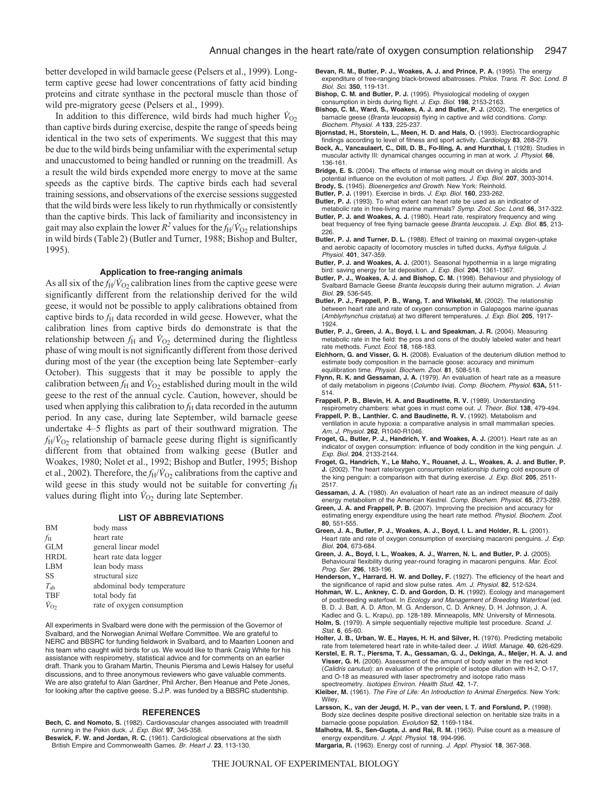better developed in wild barnacle geese (Pelsers et al., 1999). Longterm captive geese had lower concentrations of fatty acid binding proteins and citrate synthase in the pectoral muscle than those of wild pre-migratory geese (Pelsers et al., 1999).

In addition to this difference, wild birds had much higher  $\dot{V}_{O2}$ than captive birds during exercise, despite the range of speeds being identical in the two sets of experiments. We suggest that this may be due to the wild birds being unfamiliar with the experimental setup and unaccustomed to being handled or running on the treadmill. As a result the wild birds expended more energy to move at the same speeds as the captive birds. The captive birds each had several training sessions, and observations of the exercise sessions suggested that the wild birds were less likely to run rhythmically or consistently than the captive birds. This lack of familiarity and inconsistency in gait may also explain the lower  $R^2$  values for the  $f_H/\dot{V}_{O2}$  relationships in wild birds (Table2) (Butler and Turner, 1988; Bishop and Bulter, 1995).

# **Application to free-ranging animals**

As all six of the  $f_H/V_{O2}$  calibration lines from the captive geese were significantly different from the relationship derived for the wild geese, it would not be possible to apply calibrations obtained from captive birds to  $f<sub>H</sub>$  data recorded in wild geese. However, what the calibration lines from captive birds do demonstrate is that the relationship between  $f_H$  and  $\dot{V}_{O2}$  determined during the flightless phase of wing moult is not significantly different from those derived during most of the year (the exception being late September–early October). This suggests that it may be possible to apply the calibration between  $f_H$  and  $\dot{V}_{O2}$  established during moult in the wild geese to the rest of the annual cycle. Caution, however, should be used when applying this calibration to  $f<sub>H</sub>$  data recorded in the autumn period. In any case, during late September, wild barnacle geese undertake 4–5 flights as part of their southward migration. The  $f_H/V_{O_2}$  relationship of barnacle geese during flight is significantly different from that obtained from walking geese (Butler and Woakes, 1980; Nolet et al., 1992; Bishop and Butler, 1995; Bishop et al., 2002). Therefore, the  $f_H/\dot{V}_{O_2}$  calibrations from the captive and wild geese in this study would not be suitable for converting  $f_H$ values during flight into  $\dot{V}_{O2}$  during late September.

# **LIST OF ABBREVIATIONS**

| <b>BM</b>           | body mass                  |
|---------------------|----------------------------|
| fн                  | heart rate                 |
| <b>GLM</b>          | general linear model       |
| <b>HRDL</b>         | heart rate data logger     |
| <b>LBM</b>          | lean body mass             |
| SS                  | structural size            |
| $T_{ab}$            | abdominal body temperature |
| <b>TBF</b>          | total body fat             |
| $\dot{V}_{\Omega2}$ | rate of oxygen consumption |

All experiments in Svalbard were done with the permission of the Governor of Svalbard, and the Norwegian Animal Welfare Committee. We are grateful to NERC and BBSRC for funding fieldwork in Svalbard, and to Maarten Loonen and his team who caught wild birds for us. We would like to thank Craig White for his assistance with respirometry, statistical advice and for comments on an earlier draft. Thank you to Graham Martin, Theunis Piersma and Lewis Halsey for useful discussions, and to three anonymous reviewers who gave valuable comments. We are also grateful to Alan Gardner, Phil Archer, Ben Heanue and Pete Jones, for looking after the captive geese. S.J.P. was funded by a BBSRC studentship.

#### **REFERENCES**

- **Bech, C. and Nomoto, S.** (1982). Cardiovascular changes associated with treadmill running in the Pekin duck. J. Exp. Biol. **97**, 345-358.
- **Beswick, F. W. and Jordan, R. C.** (1961). Cardiological observations at the sixth British Empire and Commonwealth Games. Br. Heart J. **23**, 113-130.

**Bevan, R. M., Butler, P. J., Woakes, A. J. and Prince, P. A.** (1995). The energy expenditure of free-ranging black-browed albatrosses. Philos. Trans. R. Soc. Lond. B Biol. Sci. **350**, 119-131.

**Bishop, C. M. and Butler, P. J.** (1995). Physiological modeling of oxygen consumption in birds during flight. J. Exp. Biol. **198**, 2153-2163.

- **Bishop, C. M., Ward, S., Woakes, A. J. and Butler, P. J.** (2002). The energetics of barnacle geese (Branta leucopsis) flying in captive and wild conditions. Comp. Biochem. Physiol. A **133**, 225-237.
- **Bjornstad, H., Storstein, L., Meen, H. D. and Hals, O.** (1993). Electrocardiographic
- findings according to level of fitness and sport activity. Cardiology **83**, 268-279. **Bock, A., Vancaulaert, C., Dill, D. B., Fo-lling, A. and Hurxthal, I.** (1928). Studies in muscular activity III: dynamical changes occurring in man at work. J. Physiol. **66**, 136-161.
- **Bridge, E. S.** (2004). The effects of intense wing moult on diving in alcids and
- potential influence on the evolution of molt patters. J. Exp. Biol. **207**, 3003-3014.
- **Brody, S.** (1945). Bioenergetics and Growth. New York: Reinhold. **Butler, P. J.** (1991). Exercise in birds. J. Exp. Biol. **160**, 233-262.
- **Butler, P. J.** (1993). To what extent can heart rate be used as an indicator of
- metabolic rate in free-living marine mammals? Symp. Zool. Soc. Lond. **66**, 317-322. **Butler, P. J. and Woakes, A. J.** (1980). Heart rate, respiratory frequency and wing beat frequency of free flying barnacle geese Branta leucopsis. J. Exp. Biol. **85**, 213- 226.
- **Butler, P. J. and Turner, D. L.** (1988). Effect of training on maximal oxygen-uptake and aerobic capacity of locomotory muscles in tufted ducks, Aythya fuligula. J. Physiol. **401**, 347-359.
- **Butler, P. J. and Woakes, A. J.** (2001). Seasonal hypothermia in a large migrating bird: saving energy for fat deposition. J. Exp. Biol. **204**, 1361-1367.
- **Butler, P. J., Woakes, A. J. and Bishop, C. M.** (1998). Behaviour and physiology of Svalbard Barnacle Geese Branta leucopsis during their autumn migration. J. Avian Biol. **29**, 536-545.
- **Butler, P. J., Frappell, P. B., Wang, T. and Wikelski, M.** (2002). The relationship between heart rate and rate of oxygen consumption in Galapagos marine iguanas (Amblyrhynchus cristatus) at two different temperatures. J. Exp. Biol. **205**, 1917- 1924.
- **Butler, P. J., Green, J. A., Boyd, I. L. and Speakman, J. R.** (2004). Measuring metabolic rate in the field: the pros and cons of the doubly labeled water and heart rate methods. Funct. Ecol. **18**, 168-183.
- **Eichhorn, G. and Visser, G. H.** (2008). Evaluation of the deuterium dilution method to estimate body composition in the barnacle goose: accuracy and minimum equilibration time. Physiol. Biochem. Zool. **81**, 508-518.
- **Flynn, R. K. and Gessaman, J. A.** (1979). An evaluation of heart rate as a measure of daily metabolism in pigeons (Columbo livia). Comp. Biochem. Physiol. **63A,** 511- 514.
- **Frappell, P. B., Blevin, H. A. and Baudinette, R. V.** (1989). Understanding
- respirometry chambers: what goes in must come out. J. Theor. Biol. **138**, 479-494. **Frappell, P. B., Lanthier. C. and Baudinette, R. V.** (1992). Metabolism and ventilation in acute hypoxia: a comparative analysis in small mammalian species. Am. J. Physiol. **262**, R1040-R1046.
- **Froget, G., Butler, P. J., Handrich, Y. and Woakes, A. J.** (2001). Heart rate as an indicator of oxygen consumption: influence of body condition in the king penguin. J. Exp. Biol. **204**, 2133-2144.
- **Froget, G., Handrich, Y., Le Maho, Y., Rouanet, J. L., Woakes, A. J. and Butler, P. J.** (2002). The heart rate/oxygen consumption relationship during cold exposure of the king penguin: a comparison with that during exercise. J. Exp. Biol. **205**, 2511- 2517.
- **Gessaman, J. A.** (1980). An evaluation of heart rate as an indirect measure of daily energy metabolism of the American Kestrel. Comp. Biochem. Physiol. **65**, 273-289.
- **Green, J. A. and Frappell, P. B.** (2007). Improving the precision and accuracy for estimating energy expenditure using the heart rate method. Physiol. Biochem. Zool. **80**, 551-555.
- **Green, J. A., Butler, P. J., Woakes, A. J., Boyd, I. L. and Holder, R. L.** (2001). Heart rate and rate of oxygen consumption of exercising macaroni penguins. J. Exp. Biol. **204**, 673-684.
- **Green, J. A., Boyd, I. L., Woakes, A. J., Warren, N. L. and Butler, P. J.** (2005). Behavioural flexibility during year-round foraging in macaroni penguins. Mar. Ecol. Prog. Ser. **296**, 183-196.
- **Henderson, Y., Harrard. H. W. and Dolley, F.** (1927). The efficiency of the heart and the significance of rapid and slow pulse rates. Am. J. Physiol. **82**, 512-524.
- **Hohman, W. L., Ankney, C. D. and Gordon, D. H.** (1992). Ecology and management of postbreeding waterfowl. In Ecology and Management of Breeding Waterfowl (ed. B. D. J. Batt, A. D. Afton, M. G. Anderson, C. D. Ankney, D. H. Johnson, J. A. Kadlec and G. L. Krapu), pp. 128-189. Minneapolis, MN: University of Minnesota.
- Holm, S. (1979). A simple sequentially rejective multiple test procedure. Scand. J. Stat. **6**, 65-60.
- **Holter, J. B., Urban, W. E., Hayes, H. H. and Silver, H.** (1976). Predicting metabolic rate from telemetered heart rate in white-tailed deer. J. Wildl. Manage. **40**, 626-629.
- **Kerstel, E. R. T., Piersma, T. A., Gessaman, G. J., Dekinga, A., Meijer, H. A. J. and Visser, G. H.** (2006). Assessment of the amount of body water in the red knot (Calidris canutus): an evaluation of the principle of isotope dilution with H-2, O-17, and O-18 as measured with laser spectrometry and isotope ratio mass spectreometry. Isotopes Environ. Health Stud. **42**, 1-7.
- **Kleiber, M.** (1961). The Fire of Life: An Introduction to Animal Energetics. New York: **Wiley**
- **Larsson, K., van der Jeugd, H. P., van der veen, I. T. and Forslund, P.** (1998). Body size declines despite positive directional selection on heritable size traits in a barnacle goose population. Evolution **52**, 1169-1184.
- **Malhotra, M. S., Sen-Gupta, J. and Rai, R. M.** (1963). Pulse count as a measure of energy expenditure. J. Appl. Physiol. **18**, 994-996.
- **Margaria, R.** (1963). Energy cost of running. J. Appl. Physiol. **18**, 367-368.